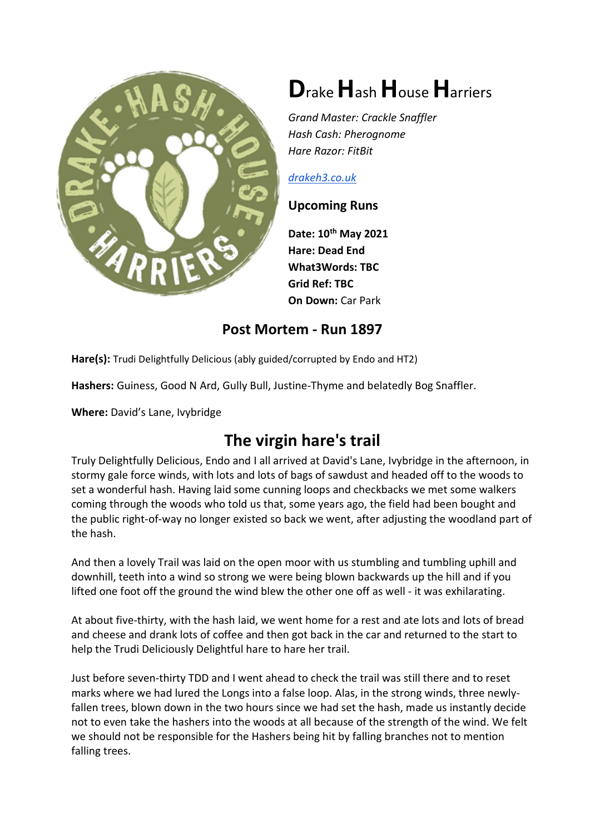

# Drake Hash House Harriers

Grand Master: Crackle Snaffler Hash Cash: Pherognome Hare Razor: FitBit

#### drakeh3.co.uk

#### Upcoming Runs

Date: 10<sup>th</sup> May 2021 Hare: Dead End What3Words: TBC Grid Ref: TBC On Down: Car Park

### Post Mortem - Run 1897

Hare(s): Trudi Delightfully Delicious (ably guided/corrupted by Endo and HT2)

Hashers: Guiness, Good N Ard, Gully Bull, Justine-Thyme and belatedly Bog Snaffler.

Where: David's Lane, Ivybridge

## The virgin hare's trail

Truly Delightfully Delicious, Endo and I all arrived at David's Lane, Ivybridge in the afternoon, in stormy gale force winds, with lots and lots of bags of sawdust and headed off to the woods to set a wonderful hash. Having laid some cunning loops and checkbacks we met some walkers coming through the woods who told us that, some years ago, the field had been bought and the public right-of-way no longer existed so back we went, after adjusting the woodland part of the hash.

And then a lovely Trail was laid on the open moor with us stumbling and tumbling uphill and downhill, teeth into a wind so strong we were being blown backwards up the hill and if you lifted one foot off the ground the wind blew the other one off as well - it was exhilarating.

At about five-thirty, with the hash laid, we went home for a rest and ate lots and lots of bread and cheese and drank lots of coffee and then got back in the car and returned to the start to help the Trudi Deliciously Delightful hare to hare her trail.

Just before seven-thirty TDD and I went ahead to check the trail was still there and to reset marks where we had lured the Longs into a false loop. Alas, in the strong winds, three newlyfallen trees, blown down in the two hours since we had set the hash, made us instantly decide not to even take the hashers into the woods at all because of the strength of the wind. We felt we should not be responsible for the Hashers being hit by falling branches not to mention falling trees.